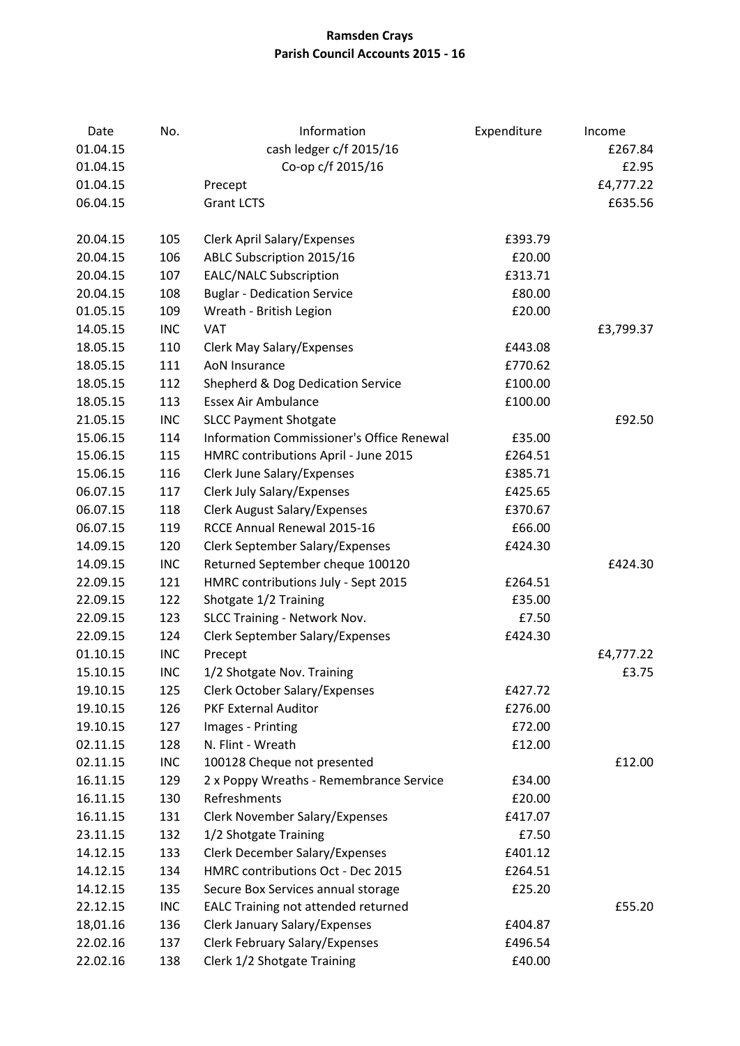## **Ramsden Crays Parish Council Accounts 2015 - 16**

| Date     | No.        | Information                               | Expenditure | Income    |
|----------|------------|-------------------------------------------|-------------|-----------|
| 01.04.15 |            | cash ledger c/f 2015/16                   |             | £267.84   |
| 01.04.15 |            | Co-op c/f 2015/16                         |             | £2.95     |
| 01.04.15 |            | Precept                                   |             | £4,777.22 |
| 06.04.15 |            | <b>Grant LCTS</b>                         |             | £635.56   |
|          |            |                                           |             |           |
| 20.04.15 | 105        | <b>Clerk April Salary/Expenses</b>        | £393.79     |           |
| 20.04.15 | 106        | ABLC Subscription 2015/16                 | £20.00      |           |
| 20.04.15 | 107        | <b>EALC/NALC Subscription</b>             | £313.71     |           |
| 20.04.15 | 108        | <b>Buglar - Dedication Service</b>        | £80.00      |           |
| 01.05.15 | 109        | Wreath - British Legion                   | £20.00      |           |
| 14.05.15 | <b>INC</b> | <b>VAT</b>                                |             | £3,799.37 |
| 18.05.15 | 110        | <b>Clerk May Salary/Expenses</b>          | £443.08     |           |
| 18.05.15 | 111        | <b>AoN Insurance</b>                      | £770.62     |           |
| 18.05.15 | 112        | Shepherd & Dog Dedication Service         | £100.00     |           |
| 18.05.15 | 113        | <b>Essex Air Ambulance</b>                | £100.00     |           |
| 21.05.15 | <b>INC</b> | <b>SLCC Payment Shotgate</b>              |             | £92.50    |
| 15.06.15 | 114        | Information Commissioner's Office Renewal | £35.00      |           |
| 15.06.15 | 115        | HMRC contributions April - June 2015      | £264.51     |           |
| 15.06.15 | 116        | <b>Clerk June Salary/Expenses</b>         | £385.71     |           |
| 06.07.15 | 117        | Clerk July Salary/Expenses                | £425.65     |           |
| 06.07.15 | 118        | <b>Clerk August Salary/Expenses</b>       | £370.67     |           |
| 06.07.15 | 119        | RCCE Annual Renewal 2015-16               | £66.00      |           |
| 14.09.15 | 120        | <b>Clerk September Salary/Expenses</b>    | £424.30     |           |
| 14.09.15 | <b>INC</b> | Returned September cheque 100120          |             | £424.30   |
| 22.09.15 | 121        | HMRC contributions July - Sept 2015       | £264.51     |           |
| 22.09.15 | 122        | Shotgate 1/2 Training                     | £35.00      |           |
| 22.09.15 | 123        | SLCC Training - Network Nov.              | £7.50       |           |
| 22.09.15 | 124        | Clerk September Salary/Expenses           | £424.30     |           |
| 01.10.15 | <b>INC</b> | Precept                                   |             | £4,777.22 |
| 15.10.15 | INC        | 1/2 Shotgate Nov. Training                |             | £3.75     |
| 19.10.15 | 125        | <b>Clerk October Salary/Expenses</b>      | £427.72     |           |
| 19.10.15 | 126        | <b>PKF External Auditor</b>               | £276.00     |           |
| 19.10.15 | 127        | Images - Printing                         | £72.00      |           |
| 02.11.15 | 128        | N. Flint - Wreath                         | £12.00      |           |
| 02.11.15 | <b>INC</b> | 100128 Cheque not presented               |             | £12.00    |
| 16.11.15 | 129        | 2 x Poppy Wreaths - Remembrance Service   | £34.00      |           |
| 16.11.15 | 130        | Refreshments                              | £20.00      |           |
| 16.11.15 | 131        | <b>Clerk November Salary/Expenses</b>     | £417.07     |           |
| 23.11.15 | 132        | 1/2 Shotgate Training                     | £7.50       |           |
| 14.12.15 | 133        | <b>Clerk December Salary/Expenses</b>     | £401.12     |           |
| 14.12.15 | 134        | HMRC contributions Oct - Dec 2015         | £264.51     |           |
| 14.12.15 | 135        | Secure Box Services annual storage        | £25.20      |           |
| 22.12.15 | <b>INC</b> | EALC Training not attended returned       |             | £55.20    |
| 18,01.16 | 136        | <b>Clerk January Salary/Expenses</b>      | £404.87     |           |
| 22.02.16 | 137        | <b>Clerk February Salary/Expenses</b>     | £496.54     |           |
| 22.02.16 | 138        | Clerk 1/2 Shotgate Training               | £40.00      |           |